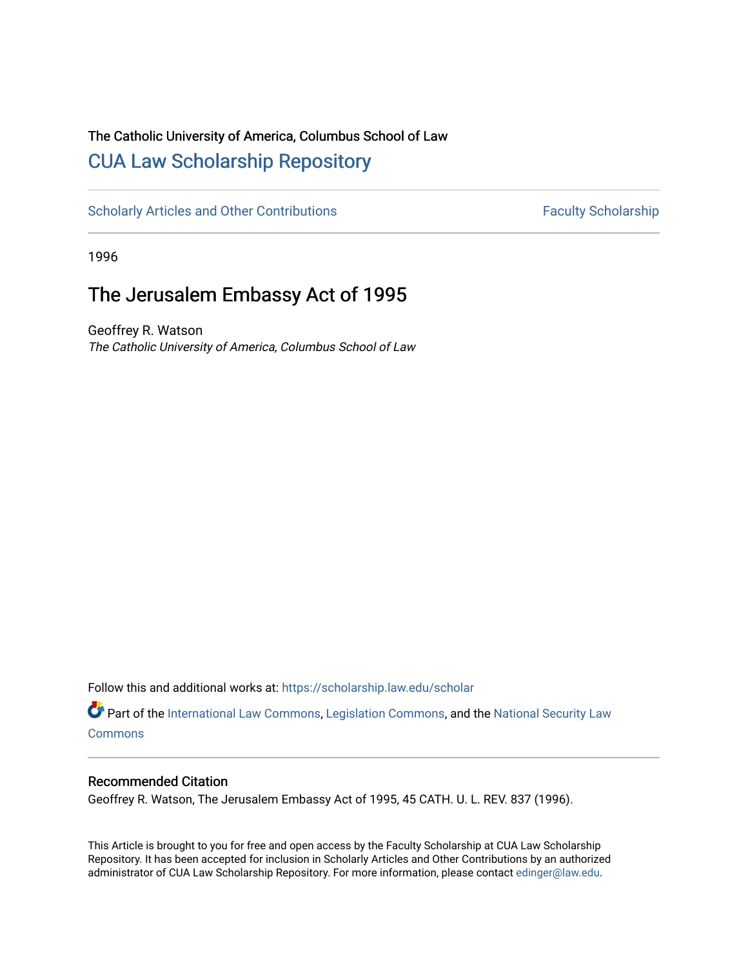## The Catholic University of America, Columbus School of Law [CUA Law Scholarship Repository](https://scholarship.law.edu/)

[Scholarly Articles and Other Contributions](https://scholarship.law.edu/scholar) Faculty Scholarship

1996

# The Jerusalem Embassy Act of 1995

Geoffrey R. Watson The Catholic University of America, Columbus School of Law

Follow this and additional works at: [https://scholarship.law.edu/scholar](https://scholarship.law.edu/scholar?utm_source=scholarship.law.edu%2Fscholar%2F275&utm_medium=PDF&utm_campaign=PDFCoverPages)

Part of the [International Law Commons,](http://network.bepress.com/hgg/discipline/609?utm_source=scholarship.law.edu%2Fscholar%2F275&utm_medium=PDF&utm_campaign=PDFCoverPages) [Legislation Commons](http://network.bepress.com/hgg/discipline/859?utm_source=scholarship.law.edu%2Fscholar%2F275&utm_medium=PDF&utm_campaign=PDFCoverPages), and the National Security Law **[Commons](http://network.bepress.com/hgg/discipline/1114?utm_source=scholarship.law.edu%2Fscholar%2F275&utm_medium=PDF&utm_campaign=PDFCoverPages)** 

### Recommended Citation

Geoffrey R. Watson, The Jerusalem Embassy Act of 1995, 45 CATH. U. L. REV. 837 (1996).

This Article is brought to you for free and open access by the Faculty Scholarship at CUA Law Scholarship Repository. It has been accepted for inclusion in Scholarly Articles and Other Contributions by an authorized administrator of CUA Law Scholarship Repository. For more information, please contact [edinger@law.edu](mailto:edinger@law.edu).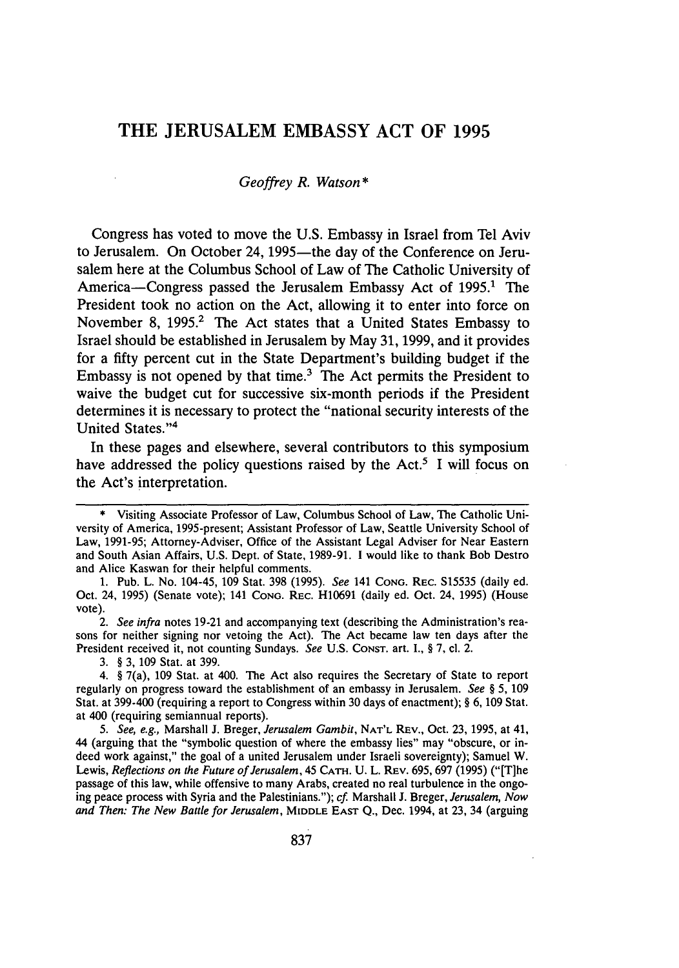### THE **JERUSALEM** EMBASSY **ACT** OF **1995**

#### *Geoffrey R. Watson \**

Congress has voted to move the U.S. Embassy in Israel from Tel Aviv to Jerusalem. On October 24, 1995-the day of the Conference on Jerusalem here at the Columbus School of Law of The Catholic University of America-Congress passed the Jerusalem Embassy Act of 1995.<sup>1</sup> The President took no action on the Act, allowing it to enter into force on November 8, 1995.<sup>2</sup> The Act states that a United States Embassy to Israel should be established in Jerusalem by May 31, 1999, and it provides for a fifty percent cut in the State Department's building budget if the Embassy is not opened by that time.<sup>3</sup> The Act permits the President to waive the budget cut for successive six-month periods if the President determines it is necessary to protect the "national security interests of the United States."<sup>4</sup>

In these pages and elsewhere, several contributors to this symposium have addressed the policy questions raised **by** the Act.5 I will focus on the Act's interpretation.

2. *See infra* notes 19-21 and accompanying text (describing the Administration's reasons for neither signing nor vetoing the Act). The Act became law ten days after the President received it, not counting Sundays. *See* U.S. CoNsT. art. I., § 7, cl. 2.

3. § 3, **109** Stat. at 399.

4. § 7(a), 109 Stat. at 400. The Act also requires the Secretary of State to report regularly on progress toward the establishment of an embassy in Jerusalem. *See §* 5, 109 Stat. at 399-400 (requiring a report to Congress within 30 days of enactment); *§* 6, 109 Stat. at 400 (requiring semiannual reports).

*5. See, e.g.,* Marshall J. Breger, *Jerusalem Gambit,* **NAT'L** REv., Oct. 23, 1995, at 41, 44 (arguing that the "symbolic question of where the embassy lies" may "obscure, or indeed work against," the goal of a united Jerusalem under Israeli sovereignty); Samuel W. Lewis, *Reflections on the Future of Jerusalem*, 45 CATH. U. L. REV. 695, 697 (1995) ("[T]he passage of this law, while offensive to many Arabs, created no real turbulence in the ongoing peace process with Syria and the Palestinians."); *cf.* Marshall J. Breger, *Jerusalem, Now and Then: The New Battle for Jerusalem,* MIDDLE **EAST Q.,** Dec. 1994, at 23, 34 (arguing

<sup>\*</sup> Visiting Associate Professor of Law, Columbus School of Law, The Catholic University of America, 1995-present; Assistant Professor of Law, Seattle University School of Law, 1991-95; Attorney-Adviser, Office of the Assistant Legal Adviser for Near Eastern and South Asian Affairs, U.S. Dept. of State, 1989-91. **1** would like to thank Bob Destro and Alice Kaswan for their helpful comments.

<sup>1.</sup> Pub. L. No. 104-45, 109 Stat. **398** (1995). *See* 141 **CONG.** REC. S15535 (daily ed. Oct. 24, 1995) (Senate vote); 141 *CONo.* REC. H10691 (daily ed. Oct. 24, **1995)** (House vote).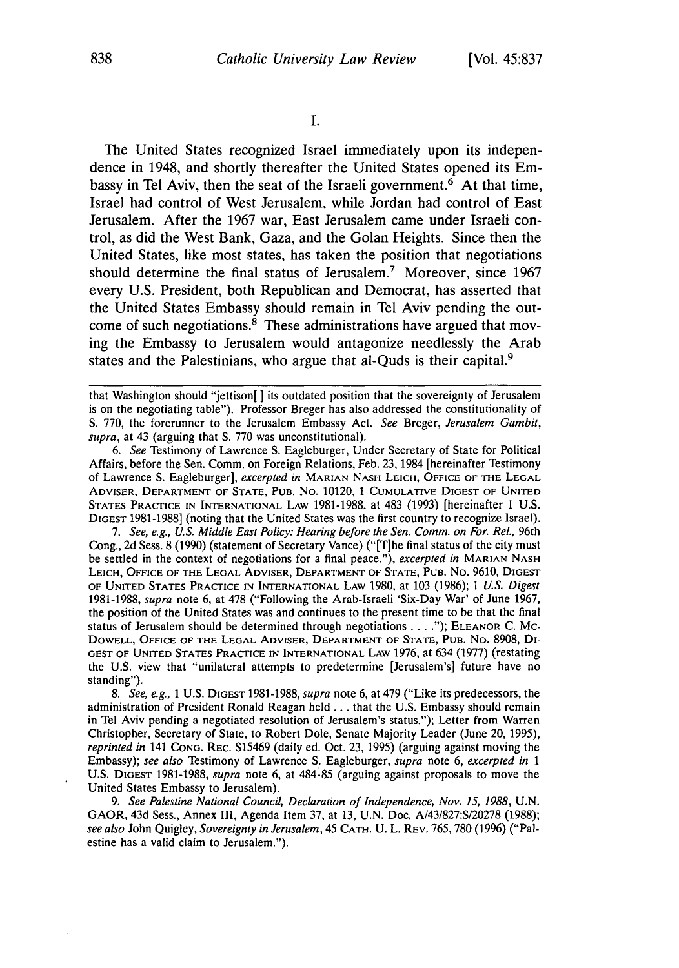**I.**

The United States recognized Israel immediately upon its independence in 1948, and shortly thereafter the United States opened its Embassy in Tel Aviv, then the seat of the Israeli government.<sup>6</sup> At that time, Israel had control of West Jerusalem, while Jordan had control of East Jerusalem. After the 1967 war, East Jerusalem came under Israeli control, as did the West Bank, Gaza, and the Golan Heights. Since then the United States, like most states, has taken the position that negotiations should determine the final status of Jerusalem.<sup>7</sup> Moreover, since 1967 every U.S. President, both Republican and Democrat, has asserted that the United States Embassy should remain in Tel Aviv pending the outcome of such negotiations. $\frac{8}{3}$  These administrations have argued that moving the Embassy to Jerusalem would antagonize needlessly the Arab states and the Palestinians, who argue that al-Quds is their capital.<sup>9</sup>

*6.* See Testimony of Lawrence S. Eagleburger, Under Secretary of State for Political Affairs, before the Sen. Comm. on Foreign Relations, Feb. 23, 1984 [hereinafter Testimony of Lawrence S. Eagleburger], excerpted *in* MARIAN NASH LEICH, OFFICE OF THE LEGAL ADVISER, DEPARTMENT OF STATE, PUB. No. 10120, 1 CUMULATIVE DIGEST OF UNITED STATES PRACTICE IN INTERNATIONAL LAW 1981-1988, at 483 (1993) [hereinafter 1 U.S. DIGEST 1981-1988] (noting that the United States was the first country to recognize Israel).

7. See, e.g., U.S. Middle East Policy: Hearing before the Sen. Comm. on For. Rel., 96th Cong., 2d Sess. 8 (1990) (statement of Secretary Vance) ("[T]he final status of the city must be settled in the context of negotiations for a final peace."), *excerpted in* MARIAN NASH LEICH, **OFFICE** OF **THE** LEGAL ADVISER, DEPARTMENT OF **STATE,** PUB. No. 9610, **DIGEST** OF UNITED STATES PRACTICE IN INTERNATIONAL LAW 1980, at 103 (1986); 1 *U.S. Digest* 1981-1988, *supra* note 6, at 478 ("Following the Arab-Israeli 'Six-Day War' of June 1967, the position of the United States was and continues to the present time to be that the final status of Jerusalem should be determined through negotiations **.... ");** ELEANOR C. MC-DOWELL, OFFICE OF **THE LEGAL** ADVISER, DEPARTMENT OF **STATE, PUB.** No. 8908, DI-GEST OF **UNITED** STATES PRACTICE IN INTERNATIONAL LAW 1976, at 634 (1977) (restating the U.S. view that "unilateral attempts to predetermine [Jerusalem's] future have no standing").

*8. See, e.g.,* 1 U.S. **DIGEST** 1981-1988, *supra* note 6, at 479 ("Like its predecessors, the administration of President Ronald Reagan held **...** that the U.S. Embassy should remain in Tel Aviv pending a negotiated resolution of Jerusalem's status."); Letter from Warren Christopher, Secretary of State, to Robert Dole, Senate Majority Leader (June 20, 1995), *reprinted in* 141 **CONG.** REC. S15469 (daily ed. Oct. 23, 1995) (arguing against moving the Embassy); *see also* Testimony of Lawrence S. Eagleburger, *supra* note 6, *excerpted in 1* **U.S. DIGEST** 1981-1988, *supra* note 6, at 484-85 (arguing against proposals to move the United States Embassy to Jerusalem).

9. See Palestine National Council, Declaration of Independence, Nov. 15, 1988, U.N. GAOR, 43d Sess., Annex III, Agenda Item 37, at 13, U.N. Doc. A/43/827:S/20278 (1988); *see also* John Quigley, *Sovereignty in Jerusalem,* 45 CATH. U. L. REV. 765,780 (1996) ("Palestine has a valid claim to Jerusalem.").

that Washington should "jettison[] its outdated position that the sovereignty of Jerusalem is on the negotiating table"). Professor Breger has also addressed the constitutionality of **S.** 770, the forerunner to the Jerusalem Embassy Act. See Breger, Jerusalem Gambit, supra, at 43 (arguing that S. 770 was unconstitutional).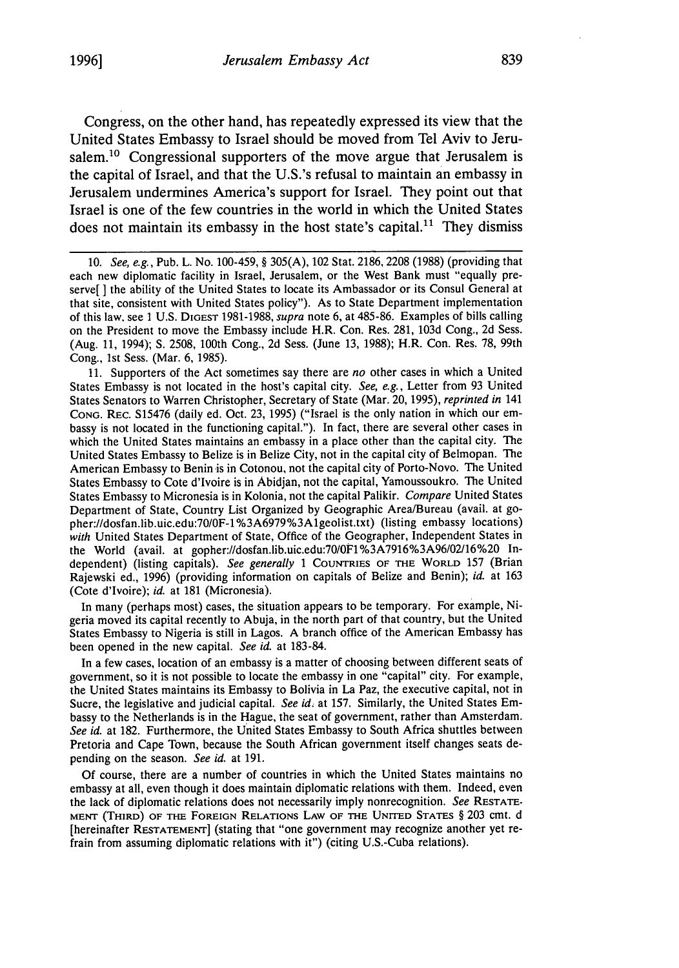Congress, on the other hand, has repeatedly expressed its view that the United States Embassy to Israel should be moved from Tel Aviv to Jerusalem.<sup>10</sup> Congressional supporters of the move argue that Jerusalem is the capital of Israel, and that the U.S.'s refusal to maintain an embassy in Jerusalem undermines America's support for Israel. They point out that Israel is one of the few countries in the world in which the United States does not maintain its embassy in the host state's capital.<sup>11</sup> They dismiss

11. Supporters of the Act sometimes say there are *no* other cases in which a United States Embassy is not located in the host's capital city. *See, e.g.,* Letter from 93 United States Senators to Warren Christopher, Secretary of State (Mar. 20, 1995), *reprinted in* 141 CONG. REC. S15476 (daily ed. Oct. 23, 1995) ("Israel is the only nation in which our embassy is not located in the functioning capital."). In fact, there are several other cases in which the United States maintains an embassy in a place other than the capital city. The United States Embassy to Belize is in Belize City, not in the capital city of Belmopan. The American Embassy to Benin is in Cotonou, not the capital city of Porto-Novo. The United States Embassy to Cote d'Ivoire is in Abidjan, not the capital, Yamoussoukro. The United States Embassy to Micronesia is in Kolonia, not the capital Palikir. *Compare* United States Department of State, Country List Organized by Geographic Area/Bureau (avail. at gopher://dosfan.lib.uic.edu:70/OF-1 %3A6979%3Algeolist.txt) (listing embassy locations) with United States Department of State, Office of the Geographer, Independent States in the World (avail. at gopher://dosfan.lib.uic.edu:70/OFl%3A7916%3A96/02/16%20 Independent) (listing capitals). See generally 1 COUNTRIES OF THE WORLD 157 (Brian Rajewski ed., 1996) (providing information on capitals of Belize and Benin); *id.* at 163 (Cote d'Ivoire); *id.* at 181 (Micronesia).

In many (perhaps most) cases, the situation appears to be temporary. For example, Nigeria moved its capital recently to Abuja, in the north part of that country, but the United States Embassy to Nigeria is still in Lagos. A branch office of the American Embassy has been opened in the new capital. *See id.* at 183-84.

In a few cases, location of an embassy is a matter of choosing between different seats of government, so it is not possible to locate the embassy in one "capital" city. For example, the United States maintains its Embassy to Bolivia in La Paz, the executive capital, not in Sucre, the legislative and judicial capital. *See id.* at 157. Similarly, the United States Embassy to the Netherlands is in the Hague, the seat of government, rather than Amsterdam. *See id.* at 182. Furthermore, the United States Embassy to South Africa shuttles between Pretoria and Cape Town, because the South African government itself changes seats depending on the season. *See id.* at 191.

Of course, there are a number of countries in which the United States maintains no embassy at all, even though it does maintain diplomatic relations with them. Indeed, even the lack of diplomatic relations does not necessarily imply nonrecognition. *See* RESTATEmrN (THIRD) OF **THE FoRIIN** RELATIONS LAW OF THE UNITED **STATES** § 203 cmt. d [hereinafter **RESTATEMENT]** (stating that "one government may recognize another yet refrain from assuming diplomatic relations with it") (citing U.S.-Cuba relations).

<sup>10.</sup> *See, e.g.,* Pub. L. No. 100-459, § 305(A), 102 Stat. 2186, 2208 (1988) (providing that each new diplomatic facility in Israel, Jerusalem, or the West Bank must "equally preserve[ ] the ability of the United States to locate its Ambassador or its Consul General at that site, consistent with United States policy"). As to State Department implementation of this law. see **1** U.S. **DIGEST** 1981-1988, *supra* note 6, at 485-86. Examples of bills calling on the President to move the Embassy include H.R. Con. Res. 281, 103d Cong., 2d Sess. (Aug. 11, 1994); **S.** 2508, 100th Cong., 2d Sess. (June 13, 1988); H.R. Con. Res. 78, 99th Cong., 1st Sess. (Mar. 6, 1985).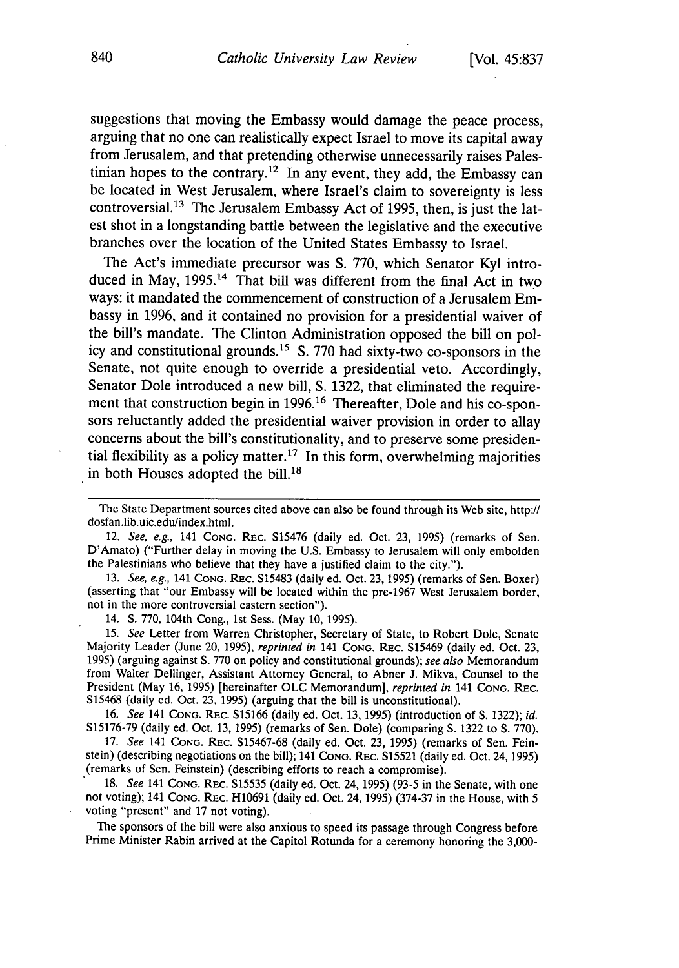suggestions that moving the Embassy would damage the peace process, arguing that no one can realistically expect Israel to move its capital away from Jerusalem, and that pretending otherwise unnecessarily raises Palestinian hopes to the contrary.<sup>12</sup> In any event, they add, the Embassy can be located in West Jerusalem, where Israel's claim to sovereignty is less controversial.<sup>13</sup> The Jerusalem Embassy Act of 1995, then, is just the latest shot in a longstanding battle between the legislative and the executive branches over the location of the United States Embassy to Israel.

The Act's immediate precursor was **S.** 770, which Senator Kyl introduced in May, 1995.<sup>14</sup> That bill was different from the final Act in two ways: it mandated the commencement of construction of a Jerusalem Embassy in 1996, and it contained no provision for a presidential waiver of the bill's mandate. The Clinton Administration opposed the bill on policy and constitutional grounds.15 S. 770 had sixty-two co-sponsors in the Senate, not quite enough to override a presidential veto. Accordingly, Senator Dole introduced a new bill, S. 1322, that eliminated the requirement that construction begin in 1996.<sup>16</sup> Thereafter, Dole and his co-sponsors reluctantly added the presidential waiver provision in order to allay concerns about the bill's constitutionality, and to preserve some presidential flexibility as a policy matter.<sup>17</sup> In this form, overwhelming majorities in both Houses adopted the bill.<sup>18</sup>

12. *See, e.g.,* 141 **CONG.** REc. S15476 (daily ed. Oct. 23, 1995) (remarks of Sen. D'Amato) ("Further delay in moving the U.S. Embassy to Jerusalem will only embolden the Palestinians who believe that they have a justified claim to the city.").

13. *See, e.g.,* 141 **CONG.** REC. S15483 (daily ed. Oct. 23, 1995) (remarks of Sen. Boxer) (asserting that "our Embassy will be located within the pre-1967 West Jerusalem border, not in the more controversial eastern section").

14. **S.** 770, 104th Cong., 1st Sess. (May 10, 1995).

15. *See* Letter from Warren Christopher, Secretary of State, to Robert Dole, Senate Majority Leader (June 20, 1995), *reprinted in* 141 **CONG.** REc. S15469 (daily ed. Oct. 23, 1995) (arguing against **S.** 770 on policy and constitutional grounds); *see also* Memorandum from Walter Dellinger, Assistant Attorney General, to Abner J. Mikva, Counsel to the President (May **16,** 1995) [hereinafter OLC Memorandum], *reprinted in* 141 **CONG.** REC. S15468 (daily ed. Oct. 23, 1995) (arguing that the bill is unconstitutional).

16. *See* 141 CONG. REc. S15166 (daily ed. Oct. 13, 1995) (introduction of **S.** 1322); *id.* S15176-79 (daily ed. Oct. 13, 1995) (remarks of Sen. Dole) (comparing **S.** 1322 to **S.** 770).

17. *See* 141 **CONG.** REc. S15467-68 (daily ed. Oct. 23, 1995) (remarks of Sen. Feinstein) (describing negotiations on the bill); 141 **CONG.** REc. S15521 (daily ed. Oct. 24,1995) (remarks of Sen. Feinstein) (describing efforts to reach a compromise).

18. *See* 141 **CONG.** REC. S15535 (daily ed. Oct. 24, 1995) (93-5 in the Senate, with one not voting); 141 **CONG.** REc. H10691 (daily ed. Oct. 24, 1995) (374-37 in the House, with 5 voting "present" and 17 not voting).

The sponsors of the bill were also anxious to speed its passage through Congress before Prime Minister Rabin arrived at the Capitol Rotunda for a ceremony honoring the 3,000-

The State Department sources cited above can also be found through its Web site, http:// dosfan.lib.uic.edu/index.html.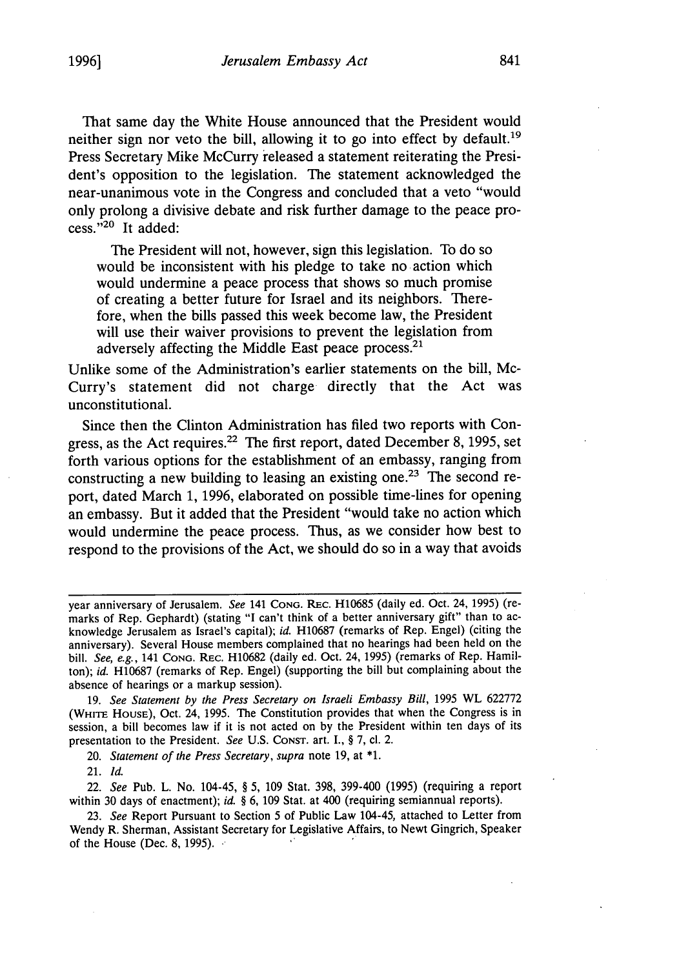That same day the White House announced that the President would neither sign nor veto the bill, allowing it to go into effect by default.<sup>19</sup> Press Secretary Mike McCurry 'eleased a statement reiterating the President's opposition to the legislation. The statement acknowledged the near-unanimous vote in the Congress and concluded that a veto "would only prolong a divisive debate and risk further damage to the peace process." $^{20}$  It added:

The President will not, however, sign this legislation. To do so would be inconsistent with his pledge to take no action which would undermine a peace process that shows so much promise of creating a better future for Israel and its neighbors. Therefore, when the bills passed this week become law, the President will use their waiver provisions to prevent the legislation from adversely affecting the Middle East peace process.<sup>21</sup>

Unlike some of the Administration's earlier statements on the bill, Mc-Curry's statement did not charge directly that the Act was unconstitutional.

Since then the Clinton Administration has filed two reports with Congress, as the Act requires.<sup>22</sup> The first report, dated December 8, 1995, set forth various options for the establishment of an embassy, ranging from constructing a new building to leasing an existing one.<sup>23</sup> The second report, dated March 1, 1996, elaborated on possible time-lines for opening an embassy. But it added that the President "would take no action which would undermine the peace process. Thus, as we consider how best to respond to the provisions of the Act, we should do so in a way that avoids

19. *See Statement by the Press Secretary on Israeli Embassy Bill,* 1995 WL 622772 (WHITE HoUSE), Oct. 24, 1995. The Constitution provides that when the Congress is in session, a bill becomes law if it is not acted on by the President within ten days of its presentation to the President. *See* U.S. CONST. art. I., § 7, cl. 2.

20. *Statement of the Press Secretary, supra* note 19, at **\*1.**

21. *Id.*

22. *See* Pub. L. No. 104-45, § **5,** 109 Stat. 398, 399-400 (1995) (requiring a report within 30 days of enactment); *id.* § **6,** 109 Stat. at 400 (requiring semiannual reports).

23. *See* Report Pursuant to Section 5 of Public Law 104-45, attached to Letter from Wendy R. Sherman, Assistant Secretary for Legislative Affairs, to Newt Gingrich, Speaker of the House (Dec. 8, 1995).

year anniversary of Jerusalem. *See* 141 **CONG.** REc. H10685 (daily ed. Oct. 24, 1995) (remarks of Rep. Gephardt) (stating "I can't think of a better anniversary gift" than to acknowledge Jerusalem as Israel's capital); *id.* H10687 (remarks of Rep. Engel) (citing the anniversary). Several House members complained that no hearings had been held on the bill. *See, e.g.,* 141 **CONG.** REc. H10682 (daily ed. Oct. 24, 1995) (remarks of Rep. Hamilton); *id.* H10687 (remarks of Rep. Engel) (supporting the bill but complaining about the absence of hearings or a markup session).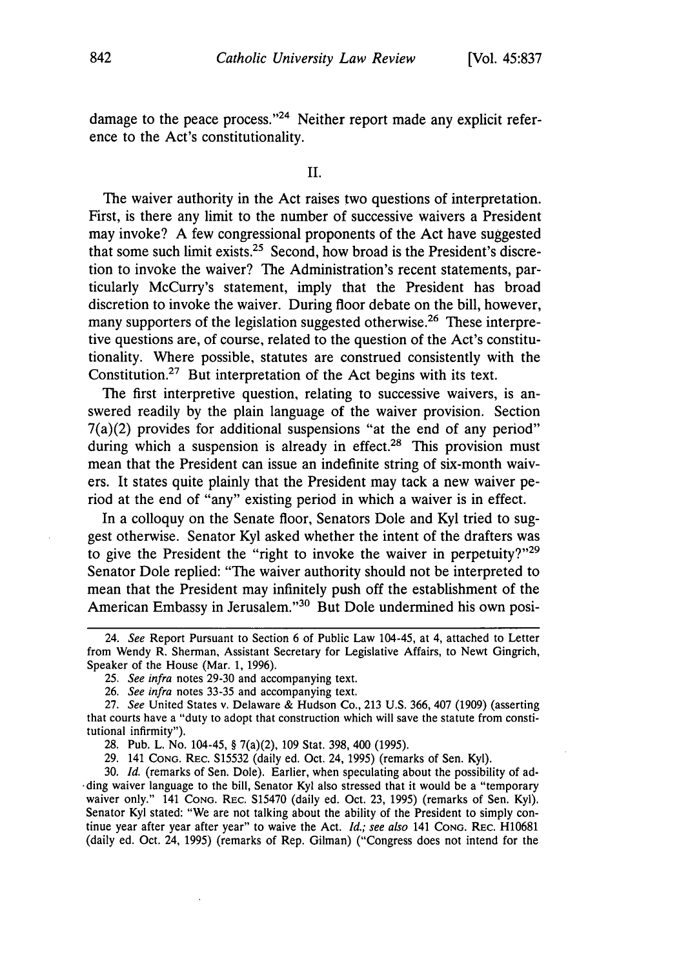damage to the peace process. $24$  Neither report made any explicit reference to the Act's constitutionality.

II.

The waiver authority in the Act raises two questions of interpretation. First, is there any limit to the number of successive waivers a President may invoke? A few congressional proponents of the Act have suggested that some such limit exists.<sup>25</sup> Second, how broad is the President's discretion to invoke the waiver? The Administration's recent statements, particularly McCurry's statement, imply that the President has broad discretion to invoke the waiver. During floor debate on the bill, however, many supporters of the legislation suggested otherwise.<sup>26</sup> These interpretive questions are, of course, related to the question of the Act's constitutionality. Where possible, statutes are construed consistently with the Constitution.27 But interpretation of the Act begins with its text.

The first interpretive question, relating to successive waivers, is answered readily by the plain language of the waiver provision. Section  $7(a)(2)$  provides for additional suspensions "at the end of any period" during which a suspension is already in effect.<sup>28</sup> This provision must mean that the President can issue an indefinite string of six-month waivers. It states quite plainly that the President may tack a new waiver period at the end of "any" existing period in which a waiver is in effect.

In a colloquy on the Senate floor, Senators Dole and Kyl tried to suggest otherwise. Senator Kyl asked whether the intent of the drafters was to give the President the "right to invoke the waiver in perpetuity?" $29$ Senator Dole replied: "The waiver authority should not be interpreted to mean that the President may infinitely push off the establishment of the American Embassy in Jerusalem."<sup>30</sup> But Dole undermined his own posi-

29. 141 **CONG.** REC. S15532 (daily ed. Oct. 24, 1995) (remarks of Sen. Kyl).

30. *Id.* (remarks of Sen. Dole). Earlier, when speculating about the possibility of ad- \*ding waiver language to the bill, Senator Kyl also stressed that it would be a "temporary waiver only." 141 **CONG.** REC. S15470 (daily ed. Oct. 23, 1995) (remarks of Sen. Kyl). Senator Kyl stated: "We are not talking about the ability of the President to simply continue year after year after year" to waive the Act. *Id.; see also* 141 **CONG.** REc. H10681 (daily ed. Oct. 24, 1995) (remarks of Rep. Gilman) ("Congress does not intend for the

<sup>24.</sup> *See* Report Pursuant to Section 6 of Public Law 104-45, at 4, attached to Letter from Wendy R. Sherman, Assistant Secretary for Legislative Affairs, to Newt Gingrich, Speaker of the House (Mar. 1, 1996).

<sup>25.</sup> *See infra* notes 29-30 and accompanying text.

<sup>26.</sup> *See infra* notes 33-35 and accompanying text.

<sup>27.</sup> *See* United States v. Delaware & Hudson Co., 213 U.S. 366, 407 (1909) (asserting that courts have a "duty to adopt that construction which will save the statute from constitutional infirmity").

<sup>28.</sup> Pub. L. No. 104-45, § 7(a)(2), 109 Stat. 398, 400 (1995).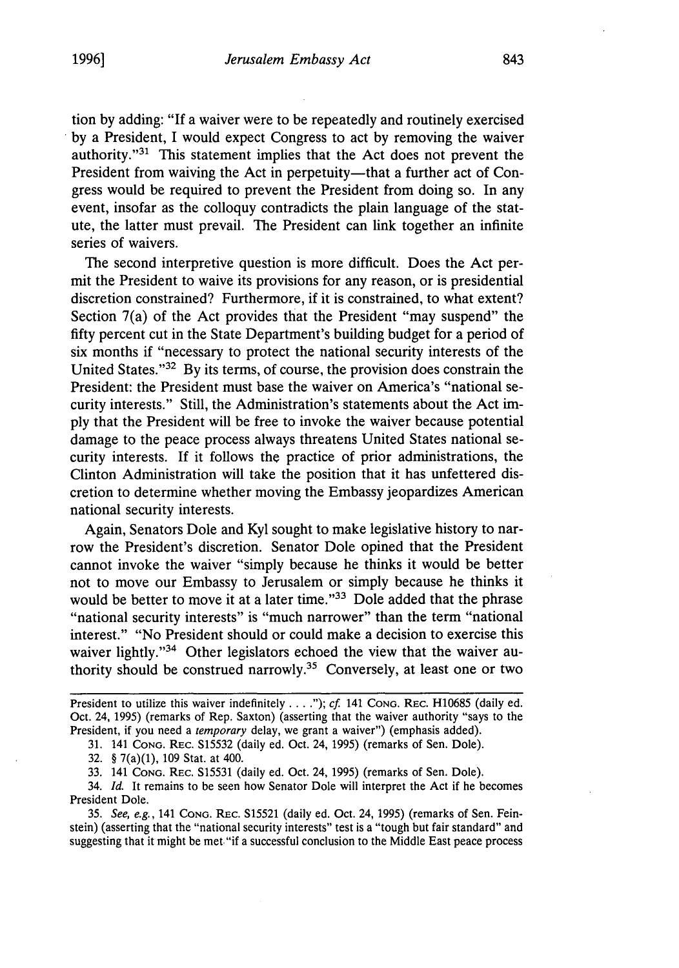tion by adding: "If a waiver were to be repeatedly and routinely exercised by a President, I would expect Congress to act by removing the waiver authority." $31$  This statement implies that the Act does not prevent the President from waiving the Act in perpetuity-that a further act of Congress would be required to prevent the President from doing so. In any event, insofar as the colloquy contradicts the plain language of the statute, the latter must prevail. The President can link together an infinite series of waivers.

The second interpretive question is more difficult. Does the Act permit the President to waive its provisions for any reason, or is presidential discretion constrained? Furthermore, if it is constrained, to what extent? Section 7(a) of the Act provides that the President "may suspend" the fifty percent cut in the State Department's building budget for a period of six months if "necessary to protect the national security interests of the United States."32 By its terms, of course, the provision does constrain the President: the President must base the waiver on America's "national security interests." Still, the Administration's statements about the Act imply that the President will be free to invoke the waiver because potential damage to the peace process always threatens United States national security interests. If it follows the practice of prior administrations, the Clinton Administration will take the position that it has unfettered discretion to determine whether moving the Embassy jeopardizes American national security interests.

Again, Senators Dole and Kyl sought to make legislative history to narrow the President's discretion. Senator Dole opined that the President cannot invoke the waiver "simply because he thinks it would be better not to move our Embassy to Jerusalem or simply because he thinks it would be better to move it at a later time."<sup>33</sup> Dole added that the phrase "national security interests" is "much narrower" than the term "national interest." "No President should or could make a decision to exercise this waiver lightly."<sup>34</sup> Other legislators echoed the view that the waiver authority should be construed narrowly.35 Conversely, at least one or two

President to utilize this waiver indefinitely . . . ."); *cf.* 141 Cong. Rec. H10685 (daily ed. Oct. 24, 1995) (remarks of Rep. Saxton) (asserting that the waiver authority "says to the President, if you need a *temporary* delay, we grant a waiver") (emphasis added).

31. 141 **CONG.** Rac. S15532 (daily ed. Oct. 24, 1995) (remarks of Sen. Dole).

32. § 7(a)(1), 109 Stat. at 400.

33. 141 **CONG. REC.** S15531 (daily ed. Oct. 24, 1995) (remarks of Sen. Dole).

34. *Id.* It remains to be seen how Senator Dole will interpret the Act if he becomes President Dole.

*35. See, e.g.,* 141 CONG. REc. S15521 (daily ed. Oct. 24, 1995) (remarks of Sen. Feinstein) (asserting that the "national security interests" test is a "tough but fair standard" and suggesting that it might be met. "if a successful conclusion to the Middle East peace process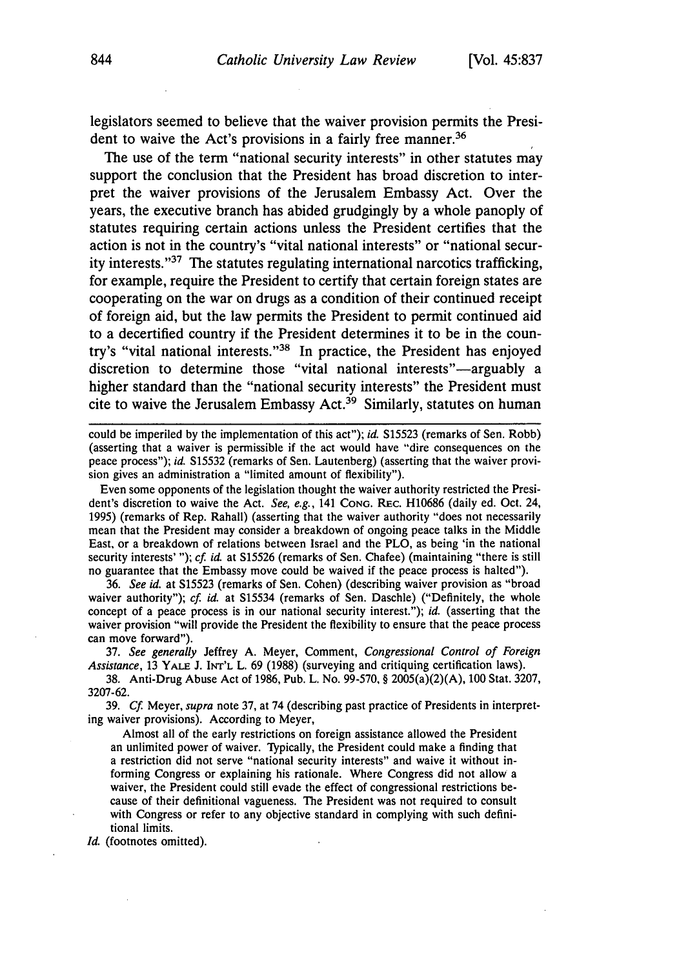legislators seemed to believe that the waiver provision permits the President to waive the Act's provisions in a fairly free manner.<sup>36</sup>

The use of the term "national security interests" in other statutes may support the conclusion that the President has broad discretion to interpret the waiver provisions of the Jerusalem Embassy Act. Over the years, the executive branch has abided grudgingly by a whole panoply of statutes requiring certain actions unless the President certifies that the action is not in the country's "vital national interests" or "national security interests. $37$  The statutes regulating international narcotics trafficking, for example, require the President to certify that certain foreign states are cooperating on the war on drugs as a condition of their continued receipt of foreign aid, but the law permits the President to permit continued aid to a decertified country if the President determines it to be in the country's "vital national interests."<sup>38</sup> In practice, the President has enjoyed discretion to determine those "vital national interests"-arguably a higher standard than the "national security interests" the President must cite to waive the Jerusalem Embassy Act.<sup>39</sup> Similarly, statutes on human

could be imperiled by the implementation of this act"); id. S15523 (remarks of Sen. Robb) (asserting that a waiver is permissible if the act would have "dire consequences on the peace process"); id. S15532 (remarks of Sen. Lautenberg) (asserting that the waiver provision gives an administration a "limited amount of flexibility").

Even some opponents of the legislation thought the waiver authority restricted the President's discretion to waive the Act. *See,* e.g., 141 **CONG.** REc. H10686 (daily ed. Oct. 24, 1995) (remarks of Rep. Rahall) (asserting that the waiver authority "does not necessarily mean that the President may consider a breakdown of ongoing peace talks in the Middle East, or a breakdown of relations between Israel and the PLO, as being 'in the national security interests' "); *cf. id.* at S15526 (remarks of Sen. Chafee) (maintaining "there is still no guarantee that the Embassy move could be waived if the peace process is halted").

36. *See* id. at S15523 (remarks of Sen. Cohen) (describing waiver provision as "broad waiver authority"); *cf. id.* at S15534 (remarks of Sen. Daschle) ("Definitely, the whole concept of a peace process is in our national security interest."); *id.* (asserting that the waiver provision "will provide the President the flexibility to ensure that the peace process can move forward").

37. *See generally* Jeffrey A. Meyer, Comment, *Congressional Control of Foreign Assistance,* 13 YALE **J.** INT'L L. 69 (1988) (surveying and critiquing certification laws).

**38.** Anti-Drug Abuse Act of 1986, Pub. L. No. 99-570, § 2005(a)(2)(A), 100 Stat. 3207, 3207-62.

39. **Cf.** Meyer, *supra* note **37,** at 74 (describing past practice of Presidents in interpreting waiver provisions). According to Meyer,

Almost all of the early restrictions on foreign assistance allowed the President an unlimited power of waiver. Typically, the President could make a finding that a restriction did not serve "national security interests" and waive it without informing Congress or explaining his rationale. Where Congress did not allow a waiver, the President could still evade the effect of congressional restrictions because of their definitional vagueness. The President was not required to consult with Congress or refer to any objective standard in complying with such definitional limits.

*Id.* (footnotes omitted).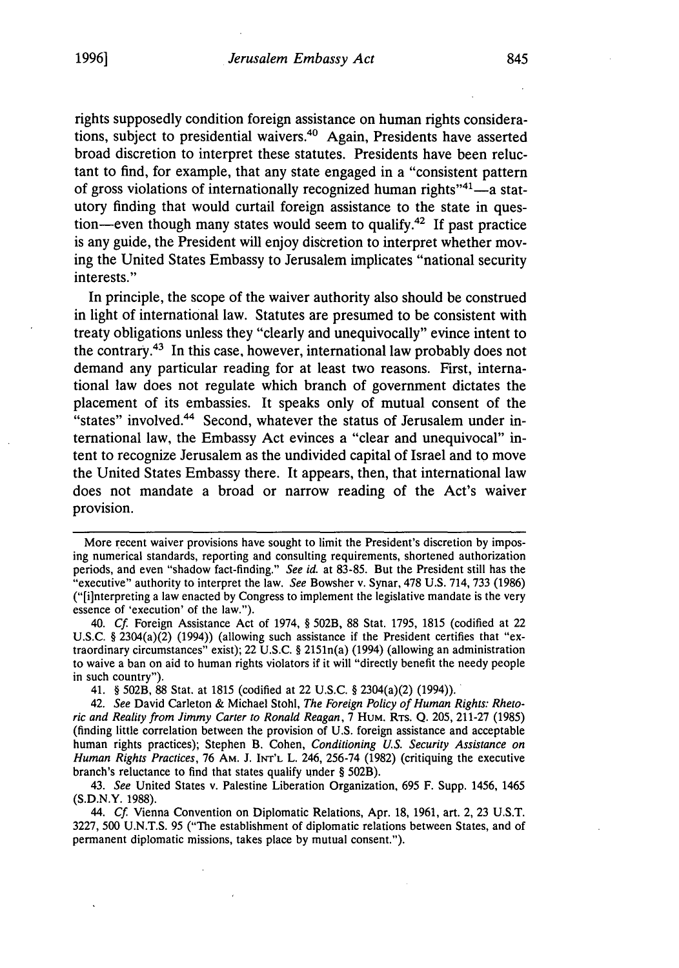rights supposedly condition foreign assistance on human rights considerations, subject to presidential waivers.<sup>40</sup> Again, Presidents have asserted broad discretion to interpret these statutes. Presidents have been reluctant to find, for example, that any state engaged in a "consistent pattern of gross violations of internationally recognized human rights<sup> $14$ -a stat-</sup> utory finding that would curtail foreign assistance to the state in question-even though many states would seem to qualify.<sup>42</sup> If past practice is any guide, the President will enjoy discretion to interpret whether moving the United States Embassy to Jerusalem implicates "national security interests."

In principle, the scope of the waiver authority also should be construed in light of international law. Statutes are presumed to be consistent with treaty obligations unless they "clearly and unequivocally" evince intent to the contrary.43 In this case, however, international law probably does not demand any particular reading for at least two reasons. First, international law does not regulate which branch of government dictates the placement of its embassies. It speaks only of mutual consent of the "states" involved.44 Second, whatever the status of Jerusalem under **in**ternational law, the Embassy Act evinces a "clear and unequivocal" intent to recognize Jerusalem as the undivided capital of Israel and to move the United States Embassy there. It appears, then, that international law does not mandate a broad or narrow reading of the Act's waiver provision.

44. *Cf.* Vienna Convention on Diplomatic Relations, Apr. 18, 1961, art. 2, 23 U.S.T. 3227, 500 U.N.T.S. 95 ("The establishment of diplomatic relations between States, and of permanent diplomatic missions, takes place by mutual consent.").

More recent waiver provisions have sought to limit the President's discretion by imposing numerical standards, reporting and consulting requirements, shortened authorization periods, and even "shadow fact-finding." *See id.* at 83-85. But the President still has the "executive" authority to interpret the law. *See* Bowsher v. Synar, 478 U.S. 714, 733 (1986) ("[i]nterpreting a law enacted by Congress to implement the legislative mandate is the very essence of 'execution' of the law.").

<sup>40.</sup> *Cf.* Foreign Assistance Act of 1974, § 502B, 88 Stat. 1795, 1815 (codified at 22 U.S.C. § 2304(a)(2) (1994)) (allowing such assistance if the President certifies that "extraordinary circumstances" exist); 22 U.S.C. § 2151n(a) (1994) (allowing an administration to waive a ban on aid to human rights violators if it will "directly benefit the needy people in such country").

<sup>41. § 502</sup>B, 88 Stat. at 1815 (codified at 22 U.S.C. § 2304(a)(2) (1994)).

<sup>42.</sup> *See* David Carleton & Michael Stohl, *The Foreign Policy of Human Rights: Rhetoric and Reality from Jimmy Carter to Ronald Reagan,* 7 HUM. RTs. Q. 205, 211-27 (1985) (finding little correlation between the provision of U.S. foreign assistance and acceptable human rights practices); Stephen B. Cohen, *Conditioning U.S. Security Assistance on Human Rights Practices,* 76 AM. J. **INT'L** L. 246, 256-74 (1982) (critiquing the executive branch's reluctance to find that states qualify under § 502B).

<sup>43.</sup> *See* United States v. Palestine Liberation Organization, 695 F. Supp. 1456, 1465 (S.D.N.Y. 1988).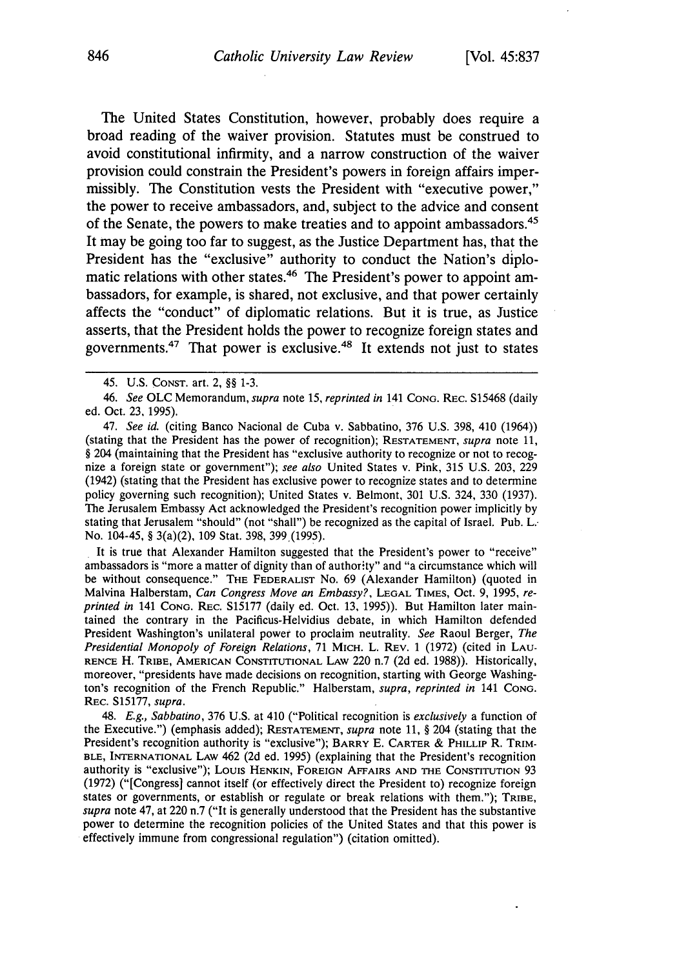The United States Constitution, however, probably does require a broad reading of the waiver provision. Statutes must be construed to avoid constitutional infirmity, and a narrow construction of the waiver provision could constrain the President's powers in foreign affairs impermissibly. The Constitution vests the President with "executive power," the power to receive ambassadors, and, subject to the advice and consent of the Senate, the powers to make treaties and to appoint ambassadors.<sup>45</sup> It may be going too far to suggest, as the Justice Department has, that the President has the "exclusive" authority to conduct the Nation's diplomatic relations with other states.<sup>46</sup> The President's power to appoint ambassadors, for example, is shared, not exclusive, and that power certainly affects the "conduct" of diplomatic relations. But it is true, as Justice asserts, that the President holds the power to recognize foreign states and governments.47 That power is exclusive.48 It extends not just to states

It is true that Alexander Hamilton suggested that the President's power to "receive" ambassadors is "more a matter of dignity than of authority" and "a circumstance which will be without consequence." THE FEDERALIST No. 69 (Alexander Hamilton) (quoted in Malvina Halberstam, *Can Congress Move an Embassy?,* **LEGAL** TIMES, Oct. 9, 1995, *reprinted in* 141 **CONG.** REC. S15177 (daily ed. Oct. 13, 1995)). But Hamilton later maintained the contrary in the Pacificus-Helvidius debate, in which Hamilton defended President Washington's unilateral power to proclaim neutrality. *See* Raoul Berger, *The Presidential Monopoly of Foreign Relations,* 71 MICH. L. REV. 1 (1972) (cited in **LAU-**RENCE H. TRIBE, **AMERICAN CONSTITUTIONAL** LAW 220 n.7 (2d ed. 1988)). Historically, moreover, "presidents have made decisions on recognition, starting with George Washington's recognition of the French Republic." Halberstam, *supra, reprinted in* 141 **CONG.** REC. S15177, *supra.*

48. *E.g., Sabbatino,* **376** U.S. at 410 ("Political recognition is *exclusively* a function of the Executive.") (emphasis added); **RESTATEMENT,** *supra* note **11,** § 204 (stating that the President's recognition authority is "exclusive"); **BARRY** E. CARTER & **PHILLIP** R. TRIM-**BLE,** INTERNATIONAL **LAW** 462 **(2d** ed. 1995) (explaining that the President's recognition authority is "exclusive"); Louis **HENKIN, FOREIGN** AFFAIRS **AND THE CONSTITUTION** 93 (1972) ("[Congress] cannot itself (or effectively direct the President to) recognize foreign states or governments, or establish or regulate or break relations with them."); TRIBE, *supra* note 47, at 220 n.7 ("It is generally understood that the President has the substantive power to determine the recognition policies of the United States and that this power is effectively immune from congressional regulation") (citation omitted).

<sup>45.</sup> U.S. CONST. art. 2, §§ 1-3.

*<sup>46.</sup> See* OLC Memorandum, *supra* note 15, *reprinted in* 141 **CONG.** REC. S15468 (daily ed. Oct. 23, 1995).

<sup>47.</sup> *See id.* (citing Banco Nacional de Cuba v. Sabbatino, 376 U.S. 398, 410 (1964)) (stating that the President has the power of recognition); RESTATEMENT, *supra* note 11, § 204 (maintaining that the President has "exclusive authority to recognize or not to recognize a foreign state or government"); *see also* United States v. Pink, 315 U.S. 203, 229 (1942) (stating that the President has exclusive power to recognize states and to determine policy governing such recognition); United States v. Belmont, 301 U.S. 324, 330 (1937). The Jerusalem Embassy Act acknowledged the President's recognition power implicitly by stating that Jerusalem "should" (not "shall") be recognized as the capital of Israel. Pub. L. No. 104-45, § 3(a)(2), 109 Stat. 398, 399 (1995).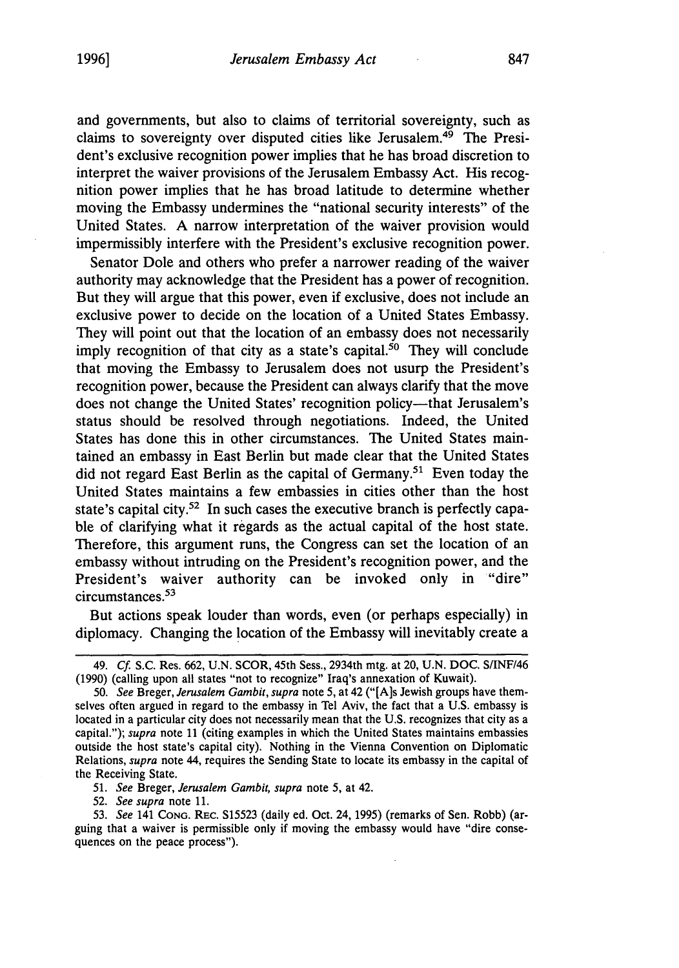and governments, but also to claims of territorial sovereignty, such as claims to sovereignty over disputed cities like Jerusalem.<sup>49</sup> The President's exclusive recognition power implies that he has broad discretion to interpret the waiver provisions of the Jerusalem Embassy Act. His recognition power implies that he has broad latitude to determine whether moving the Embassy undermines the "national security interests" of the United States. A narrow interpretation of the waiver provision would impermissibly interfere with the President's exclusive recognition power.

Senator Dole and others who prefer a narrower reading of the waiver authority may acknowledge that the President has a power of recognition. But they will argue that this power, even if exclusive, does not include an exclusive power to decide on the location of a United States Embassy. They will point out that the location of an embassy does not necessarily imply recognition of that city as a state's capital.<sup>50</sup> They will conclude that moving the Embassy to Jerusalem does not usurp the President's recognition power, because the President can always clarify that the move does not change the United States' recognition policy-that Jerusalem's status should be resolved through negotiations. Indeed, the United States has done this in other circumstances. The United States maintained an embassy in East Berlin but made clear that the United States did not regard East Berlin as the capital of Germany.<sup>51</sup> Even today the United States maintains a few embassies in cities other than the host state's capital city.<sup>52</sup> In such cases the executive branch is perfectly capable of clarifying what it regards as the actual capital of the host state. Therefore, this argument runs, the Congress can set the location of an embassy without intruding on the President's recognition power, and the President's waiver authority can be invoked only in "dire" circumstances.<sup>53</sup>

But actions speak louder than words, even (or perhaps especially) in diplomacy. Changing the location of the Embassy will inevitably create a

**51.** *See* Breger, *Jerusalem Gambit, supra* note 5, at 42.

52. *See supra* note **11.**

53. *See* 141 **CONG.** REC. S15523 (daily ed. Oct. 24, 1995) (remarks of Sen. Robb) (arguing that a waiver is permissible only if moving the embassy would have "dire consequences on the peace process").

<sup>49.</sup> *Cf.* S.C. Res. 662, U.N. SCOR, 45th Sess., 2934th mtg. at 20, U.N. DOC. S/INF/46 (1990) (calling upon all states "not to recognize" Iraq's annexation of Kuwait).

<sup>50.</sup> *See* Breger, *Jerusalem Gambit, supra* note 5, at 42 ("[A]s Jewish groups have themselves often argued in regard to the embassy in Tel Aviv, the fact that a U.S. embassy is located in a particular city does not necessarily mean that the U.S. recognizes that city as a capital."); *supra* note 11 (citing examples in which the United States maintains embassies outside the host state's capital city). Nothing in the Vienna Convention on Diplomatic Relations, *supra* note 44, requires the Sending State to locate its embassy in the capital of the Receiving State.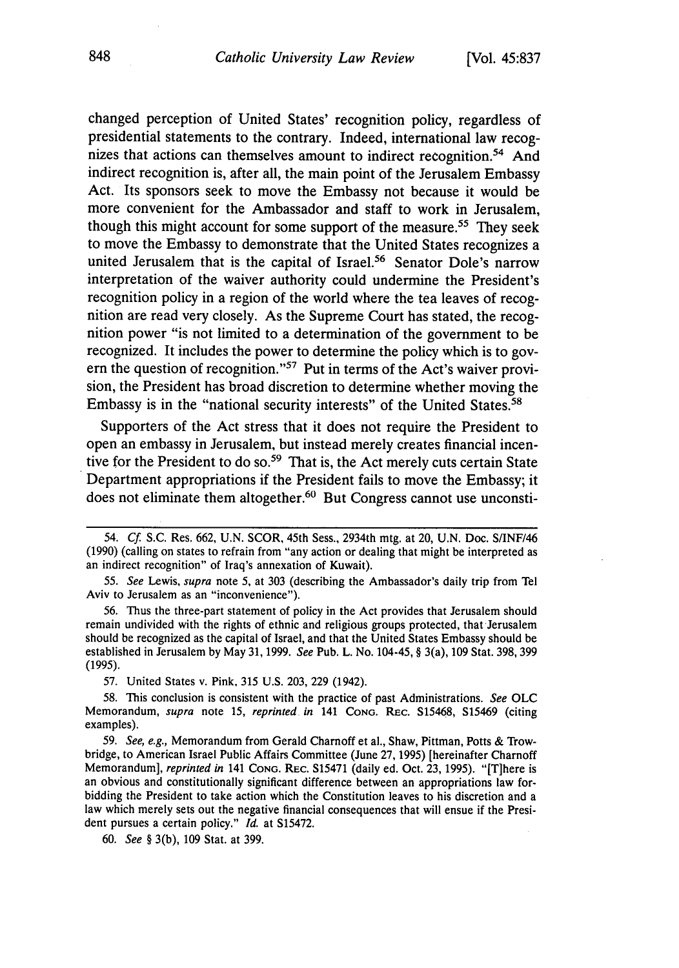changed perception of United States' recognition policy, regardless of presidential statements to the contrary. Indeed, international law recognizes that actions can themselves amount to indirect recognition.<sup>54</sup> And indirect recognition is, after all, the main point of the Jerusalem Embassy Act. Its sponsors seek to move the Embassy not because it would be more convenient for the Ambassador and staff to work in Jerusalem, though this might account for some support of the measure.<sup>55</sup> They seek to move the Embassy to demonstrate that the United States recognizes a united Jerusalem that is the capital of Israel.<sup>56</sup> Senator Dole's narrow interpretation of the waiver authority could undermine the President's recognition policy in a region of the world where the tea leaves of recognition are read very closely. As the Supreme Court has stated, the recognition power "is not limited to a determination of the government to be recognized. It includes the power to determine the policy which is to govern the question of recognition."57 Put in terms of the Act's waiver provision, the President has broad discretion to determine whether moving the Embassy is in the "national security interests" of the United States.<sup>58</sup>

Supporters of the Act stress that it does not require the President to open an embassy in Jerusalem, but instead merely creates financial incentive for the President to do so.<sup>59</sup> That is, the Act merely cuts certain State Department appropriations if the President fails to move the Embassy; it does not eliminate them altogether.<sup>60</sup> But Congress cannot use unconsti-

56. Thus the three-part statement of policy in the Act provides that Jerusalem should remain undivided with the rights of ethnic and religious groups protected, that Jerusalem should be recognized as the capital of Israel, and that the United States Embassy should be established in Jerusalem by May 31, 1999. *See* Pub. L. No. 104-45, § 3(a), 109 Stat. 398, 399 **(1995).**

57. United States v. Pink, 315 U.S. 203, 229 (1942).

58. This conclusion is consistent with the practice of past Administrations. *See* OLC Memorandum, *supra* note 15, *reprinted in* 141 **CONG.** REc. S15468, S15469 (citing examples).

59. *See, e.g.,* Memorandum from Gerald Charnoff et al., Shaw, Pittman, Potts & Trowbridge, to American Israel Public Affairs Committee (June 27, 1995) [hereinafter Charnoff Memorandum], *reprinted in* 141 **CONG.** REc. S15471 (daily ed. Oct. 23, 1995). "[Tjhere is an obvious and constitutionally significant difference between an appropriations law forbidding the President to take action which the Constitution leaves to his discretion and a law which merely sets out the negative financial consequences that will ensue if the President pursues a certain policy." *Id.* at S15472.

60. *See §* 3(b), 109 Stat. at 399.

<sup>54.</sup> **Cf.** S.C. Res. 662, U.N. SCOR, 45th Sess., 2934th mtg. at 20, U.N. Doc. S/INF/46 (1990) (calling on states to refrain from "any action or dealing that might be interpreted as an indirect recognition" of Iraq's annexation of Kuwait).

<sup>55.</sup> *See* Lewis, *supra* note **5,** at 303 (describing the Ambassador's daily trip from Tel Aviv to Jerusalem as an "inconvenience").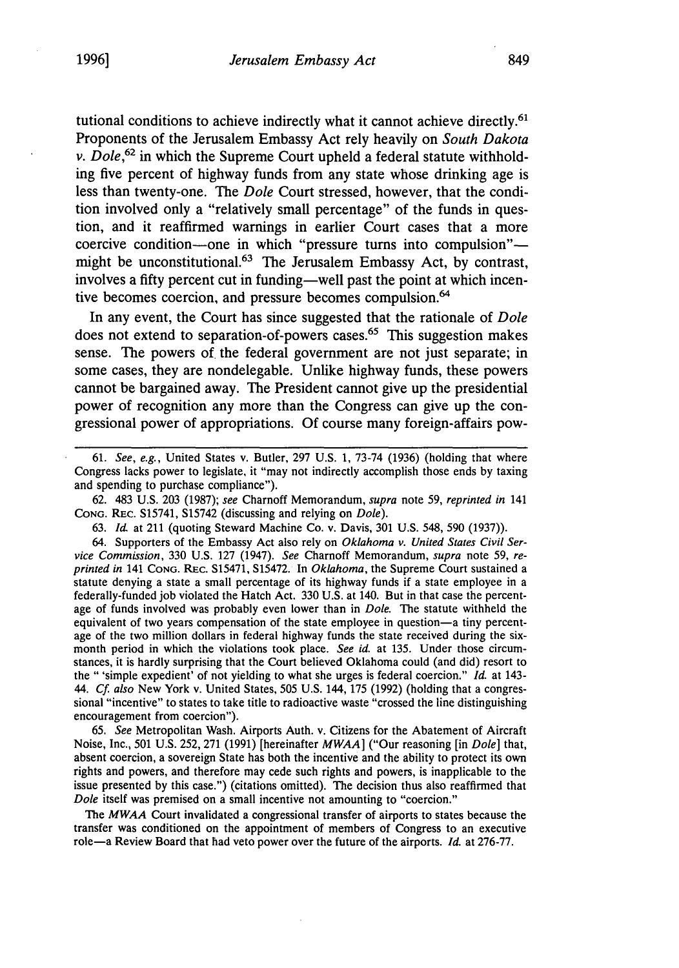tutional conditions to achieve indirectly what it cannot achieve directly.<sup>61</sup> Proponents of the Jerusalem Embassy Act rely heavily on *South Dakota v. Dole,62* in which the Supreme Court upheld a federal statute withholding five percent of highway funds from any state whose drinking age is less than twenty-one. The *Dole* Court stressed, however, that the condition involved only a "relatively small percentage" of the funds in question, and it reaffirmed warnings in earlier Court cases that a more coercive condition-one in which "pressure turns into compulsion" might be unconstitutional.<sup>63</sup> The Jerusalem Embassy Act, by contrast, involves a fifty percent cut in funding—well past the point at which incentive becomes coercion, and pressure becomes compulsion.<sup>64</sup>

In any event, the Court has since suggested that the rationale of *Dole* does not extend to separation-of-powers cases.<sup> $65$ </sup> This suggestion makes sense. The powers of the federal government are not just separate; in some cases, they are nondelegable. Unlike highway funds, these powers cannot be bargained away. The President cannot give up the presidential power of recognition any more than the Congress can give up the congressional power of appropriations. Of course many foreign-affairs pow-

62. 483 U.S. 203 (1987); *see* Charnoff Memorandum, *supra* note 59, *reprinted in* 141 **CONG.** REC. S15741, S15742 (discussing and relying on *Dole).*

64. Supporters of the Embassy Act also rely on *Oklahoma v. United States Civil Service Commission,* 330 U.S. 127 (1947). *See* Charnoff Memorandum, *supra* note 59, *reprinted in* 141 **CONG.** REC. S15471, S15472. In *Oklahoma,* the Supreme Court sustained a statute denying a state a small percentage of its highway funds if a state employee in a federally-funded job violated the Hatch Act. 330 U.S. at 140. But in that case the percentage of funds involved was probably even lower than in *Dole.* The statute withheld the equivalent of two years compensation of the state employee in question-a tiny percentage of the two million dollars in federal highway funds the state received during the sixmonth period in which the violations took place. *See id.* at 135. Under those circumstances, it is hardly surprising that the Court believed Oklahoma could (and did) resort to the " 'simple expedient' of not yielding to what she urges is federal coercion." *Id.* at 143- 44. *Cf. also* New York v. United States, 505 U.S. 144, 175 (1992) (holding that a congressional "incentive" to states to take title to radioactive waste "crossed the line distinguishing encouragement from coercion").

65. *See* Metropolitan Wash. Airports Auth. v. Citizens for the Abatement of Aircraft Noise, Inc., 501 U.S. 252, 271 (1991) [hereinafter *MWAA]* ("Our reasoning [in *Dole]* that, absent coercion, a sovereign State has both the incentive and the ability to protect its own rights and powers, and therefore may cede such rights and powers, is inapplicable to the issue presented by this case.") (citations omitted). The decision thus also reaffirmed that *Dole* itself was premised on a small incentive not amounting to "coercion."

The *MWAA* Court invalidated a congressional transfer of airports to states because the transfer was conditioned on the appointment of members of Congress to an executive role-a Review Board that had veto power over the future of the airports. *Id.* at 276-77.

<sup>61.</sup> *See, e.g.,* United States v. Butler, 297 U.S. 1, 73-74 (1936) (holding that where Congress lacks power to legislate, it "may not indirectly accomplish those ends by taxing and spending to purchase compliance").

<sup>63.</sup> *Id* at 211 (quoting Steward Machine Co. v. Davis, 301 U.S. 548, 590 (1937)).